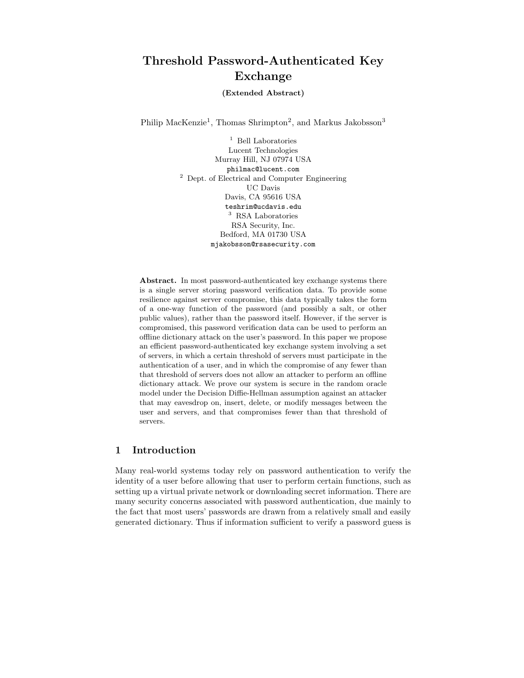# Threshold Password-Authenticated Key Exchange

## (Extended Abstract)

Philip MacKenzie<sup>1</sup>, Thomas Shrimpton<sup>2</sup>, and Markus Jakobsson<sup>3</sup>

<sup>1</sup> Bell Laboratories Lucent Technologies Murray Hill, NJ 07974 USA philmac@lucent.com <sup>2</sup> Dept. of Electrical and Computer Engineering UC Davis Davis, CA 95616 USA teshrim@ucdavis.edu <sup>3</sup> RSA Laboratories RSA Security, Inc. Bedford, MA 01730 USA mjakobsson@rsasecurity.com

Abstract. In most password-authenticated key exchange systems there is a single server storing password verification data. To provide some resilience against server compromise, this data typically takes the form of a one-way function of the password (and possibly a salt, or other public values), rather than the password itself. However, if the server is compromised, this password verification data can be used to perform an offline dictionary attack on the user's password. In this paper we propose an efficient password-authenticated key exchange system involving a set of servers, in which a certain threshold of servers must participate in the authentication of a user, and in which the compromise of any fewer than that threshold of servers does not allow an attacker to perform an offline dictionary attack. We prove our system is secure in the random oracle model under the Decision Diffie-Hellman assumption against an attacker that may eavesdrop on, insert, delete, or modify messages between the user and servers, and that compromises fewer than that threshold of servers.

# 1 Introduction

Many real-world systems today rely on password authentication to verify the identity of a user before allowing that user to perform certain functions, such as setting up a virtual private network or downloading secret information. There are many security concerns associated with password authentication, due mainly to the fact that most users' passwords are drawn from a relatively small and easily generated dictionary. Thus if information sufficient to verify a password guess is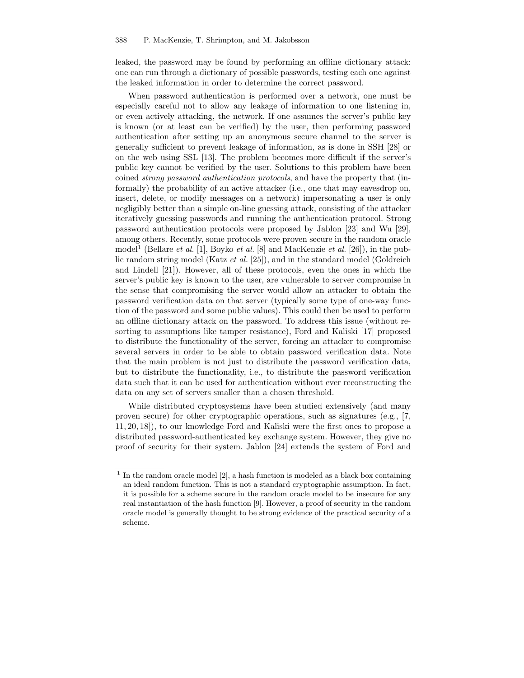leaked, the password may be found by performing an offline dictionary attack: one can run through a dictionary of possible passwords, testing each one against the leaked information in order to determine the correct password.

When password authentication is performed over a network, one must be especially careful not to allow any leakage of information to one listening in, or even actively attacking, the network. If one assumes the server's public key is known (or at least can be verified) by the user, then performing password authentication after setting up an anonymous secure channel to the server is generally sufficient to prevent leakage of information, as is done in SSH [28] or on the web using SSL [13]. The problem becomes more difficult if the server's public key cannot be verified by the user. Solutions to this problem have been coined strong password authentication protocols, and have the property that (informally) the probability of an active attacker (i.e., one that may eavesdrop on, insert, delete, or modify messages on a network) impersonating a user is only negligibly better than a simple on-line guessing attack, consisting of the attacker iteratively guessing passwords and running the authentication protocol. Strong password authentication protocols were proposed by Jablon [23] and Wu [29], among others. Recently, some protocols were proven secure in the random oracle model<sup>1</sup> (Bellare *et al.* [1], Boyko *et al.* [8] and MacKenzie *et al.* [26]), in the public random string model (Katz et al. [25]), and in the standard model (Goldreich and Lindell [21]). However, all of these protocols, even the ones in which the server's public key is known to the user, are vulnerable to server compromise in the sense that compromising the server would allow an attacker to obtain the password verification data on that server (typically some type of one-way function of the password and some public values). This could then be used to perform an offline dictionary attack on the password. To address this issue (without resorting to assumptions like tamper resistance), Ford and Kaliski [17] proposed to distribute the functionality of the server, forcing an attacker to compromise several servers in order to be able to obtain password verification data. Note that the main problem is not just to distribute the password verification data, but to distribute the functionality, i.e., to distribute the password verification data such that it can be used for authentication without ever reconstructing the data on any set of servers smaller than a chosen threshold.

While distributed cryptosystems have been studied extensively (and many proven secure) for other cryptographic operations, such as signatures (e.g., [7, 11, 20, 18]), to our knowledge Ford and Kaliski were the first ones to propose a distributed password-authenticated key exchange system. However, they give no proof of security for their system. Jablon [24] extends the system of Ford and

 $<sup>1</sup>$  In the random oracle model  $[2]$ , a hash function is modeled as a black box containing</sup> an ideal random function. This is not a standard cryptographic assumption. In fact, it is possible for a scheme secure in the random oracle model to be insecure for any real instantiation of the hash function [9]. However, a proof of security in the random oracle model is generally thought to be strong evidence of the practical security of a scheme.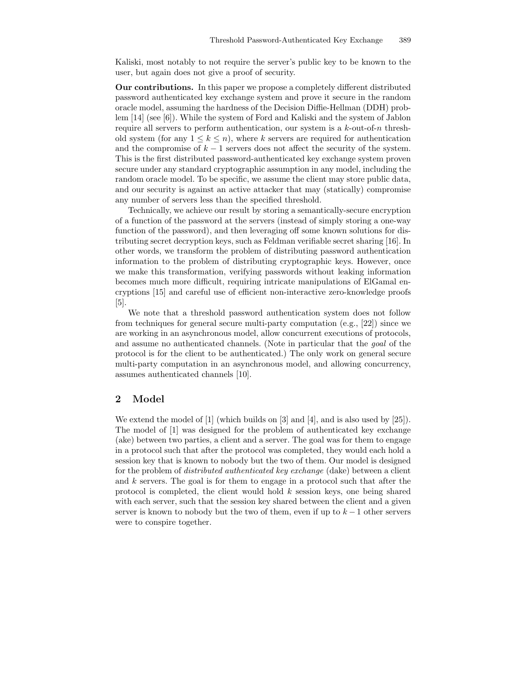Kaliski, most notably to not require the server's public key to be known to the user, but again does not give a proof of security.

Our contributions. In this paper we propose a completely different distributed password authenticated key exchange system and prove it secure in the random oracle model, assuming the hardness of the Decision Diffie-Hellman (DDH) problem [14] (see [6]). While the system of Ford and Kaliski and the system of Jablon require all servers to perform authentication, our system is a  $k$ -out-of-n threshold system (for any  $1 \leq k \leq n$ ), where k servers are required for authentication and the compromise of  $k - 1$  servers does not affect the security of the system. This is the first distributed password-authenticated key exchange system proven secure under any standard cryptographic assumption in any model, including the random oracle model. To be specific, we assume the client may store public data, and our security is against an active attacker that may (statically) compromise any number of servers less than the specified threshold.

Technically, we achieve our result by storing a semantically-secure encryption of a function of the password at the servers (instead of simply storing a one-way function of the password), and then leveraging off some known solutions for distributing secret decryption keys, such as Feldman verifiable secret sharing [16]. In other words, we transform the problem of distributing password authentication information to the problem of distributing cryptographic keys. However, once we make this transformation, verifying passwords without leaking information becomes much more difficult, requiring intricate manipulations of ElGamal encryptions [15] and careful use of efficient non-interactive zero-knowledge proofs [5].

We note that a threshold password authentication system does not follow from techniques for general secure multi-party computation (e.g., [22]) since we are working in an asynchronous model, allow concurrent executions of protocols, and assume no authenticated channels. (Note in particular that the goal of the protocol is for the client to be authenticated.) The only work on general secure multi-party computation in an asynchronous model, and allowing concurrency, assumes authenticated channels [10].

## 2 Model

We extend the model of [1] (which builds on [3] and [4], and is also used by [25]). The model of [1] was designed for the problem of authenticated key exchange (ake) between two parties, a client and a server. The goal was for them to engage in a protocol such that after the protocol was completed, they would each hold a session key that is known to nobody but the two of them. Our model is designed for the problem of distributed authenticated key exchange (dake) between a client and  $k$  servers. The goal is for them to engage in a protocol such that after the protocol is completed, the client would hold  $k$  session keys, one being shared with each server, such that the session key shared between the client and a given server is known to nobody but the two of them, even if up to  $k-1$  other servers were to conspire together.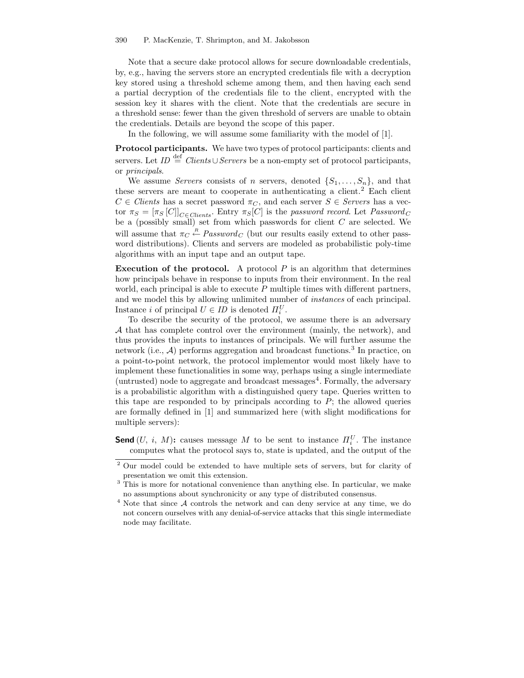Note that a secure dake protocol allows for secure downloadable credentials, by, e.g., having the servers store an encrypted credentials file with a decryption key stored using a threshold scheme among them, and then having each send a partial decryption of the credentials file to the client, encrypted with the session key it shares with the client. Note that the credentials are secure in a threshold sense: fewer than the given threshold of servers are unable to obtain the credentials. Details are beyond the scope of this paper.

In the following, we will assume some familiarity with the model of [1].

Protocol participants. We have two types of protocol participants: clients and servers. Let  $ID \stackrel{\text{def}}{=} Clients \cup Servers$  be a non-empty set of protocol participants, or principals.

We assume Servers consists of n servers, denoted  $\{S_1, \ldots, S_n\}$ , and that these servers are meant to cooperate in authenticating a client.<sup>2</sup> Each client  $C \in Clients$  has a secret password  $\pi_C$ , and each server  $S \in Servers$  has a vector  $\pi_S = [\pi_S [C]]_{C \in Clients}$ . Entry  $\pi_S [C]$  is the password record. Let Password C be a (possibly small) set from which passwords for client  $C$  are selected. We will assume that  $\pi_C \stackrel{R}{\leftarrow} Password_C$  (but our results easily extend to other password distributions). Clients and servers are modeled as probabilistic poly-time algorithms with an input tape and an output tape.

**Execution of the protocol.** A protocol  $P$  is an algorithm that determines how principals behave in response to inputs from their environment. In the real world, each principal is able to execute  $P$  multiple times with different partners, and we model this by allowing unlimited number of instances of each principal. Instance *i* of principal  $U \in ID$  is denoted  $\Pi_i^U$ .

To describe the security of the protocol, we assume there is an adversary A that has complete control over the environment (mainly, the network), and thus provides the inputs to instances of principals. We will further assume the network (i.e.,  $A$ ) performs aggregation and broadcast functions.<sup>3</sup> In practice, on a point-to-point network, the protocol implementor would most likely have to implement these functionalities in some way, perhaps using a single intermediate (untrusted) node to aggregate and broadcast messages<sup>4</sup>. Formally, the adversary is a probabilistic algorithm with a distinguished query tape. Queries written to this tape are responded to by principals according to  $P$ ; the allowed queries are formally defined in [1] and summarized here (with slight modifications for multiple servers):

**Send**  $(U, i, M)$ : causes message M to be sent to instance  $\Pi_i^U$ . The instance computes what the protocol says to, state is updated, and the output of the

<sup>2</sup> Our model could be extended to have multiple sets of servers, but for clarity of presentation we omit this extension.

<sup>&</sup>lt;sup>3</sup> This is more for notational convenience than anything else. In particular, we make no assumptions about synchronicity or any type of distributed consensus.

<sup>4</sup> Note that since A controls the network and can deny service at any time, we do not concern ourselves with any denial-of-service attacks that this single intermediate node may facilitate.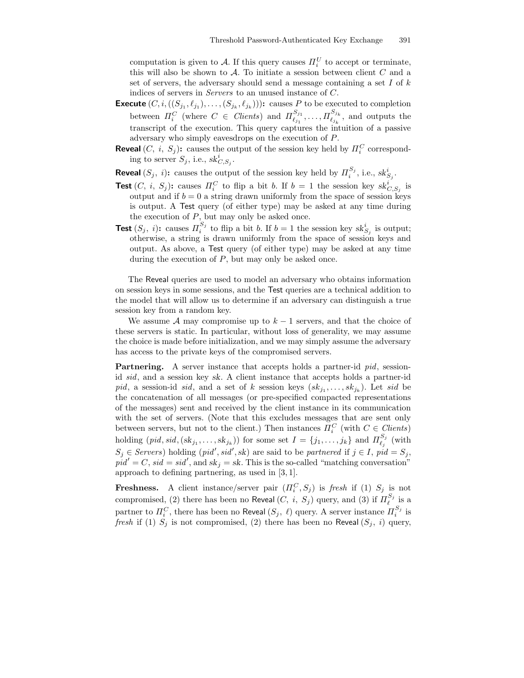computation is given to A. If this query causes  $\Pi_i^U$  to accept or terminate, this will also be shown to  $A$ . To initiate a session between client  $C$  and a set of servers, the adversary should send a message containing a set I of  $k$ indices of servers in Servers to an unused instance of C.

- **Execute**  $(C, i, ((S_{j_1}, \ell_{j_1}), \ldots, (S_{j_k}, \ell_{j_k})))$ : causes P to be executed to completion between  $\Pi_i^C$  (where  $C \in \textit{Clients}$ ) and  $\Pi_{\ell_{i_1}}^{S_{j_1}}$  $I_{\ell_{j_1}}^{S_{j_1}}, \ldots, I I_{\ell_{j_k}}^{S_{j_k}}$  $\frac{\sum_{j_k}}{\ell_{j_k}}$ , and outputs the transcript of the execution. This query captures the intuition of a passive adversary who simply eavesdrops on the execution of P.
- **Reveal**  $(C, i, S_j)$ : causes the output of the session key held by  $\Pi_i^C$  corresponding to server  $S_j$ , i.e.,  $sk_{C,S_j}^i$ .
- **Reveal**  $(S_j, i)$ : causes the output of the session key held by  $\prod_{i=1}^{S_j}$ , i.e.,  $sk_{S_j}^i$ .
- **Test**  $(C, i, S_j)$ : causes  $\Pi_i^C$  to flip a bit b. If  $b = 1$  the session key  $sk_{C,S_j}^i$  is output and if  $b = 0$  a string drawn uniformly from the space of session keys is output. A Test query (of either type) may be asked at any time during the execution of  $P$ , but may only be asked once.
- **Test**  $(S_j, i)$ : causes  $\Pi_i^{S_j}$  to flip a bit b. If  $b = 1$  the session key  $sk_{S_j}^i$  is output; otherwise, a string is drawn uniformly from the space of session keys and output. As above, a Test query (of either type) may be asked at any time during the execution of  $P$ , but may only be asked once.

The Reveal queries are used to model an adversary who obtains information on session keys in some sessions, and the Test queries are a technical addition to the model that will allow us to determine if an adversary can distinguish a true session key from a random key.

We assume A may compromise up to  $k-1$  servers, and that the choice of these servers is static. In particular, without loss of generality, we may assume the choice is made before initialization, and we may simply assume the adversary has access to the private keys of the compromised servers.

Partnering. A server instance that accepts holds a partner-id pid, sessionid sid, and a session key sk. A client instance that accepts holds a partner-id pid, a session-id sid, and a set of k session keys  $(sk_{j_1}, \ldots, sk_{j_k})$ . Let sid be the concatenation of all messages (or pre-specified compacted representations of the messages) sent and received by the client instance in its communication with the set of servers. (Note that this excludes messages that are sent only between servers, but not to the client.) Then instances  $\Pi_i^C$  (with  $C \in \text{Clients}$ ) holding  $(pid, sid, (sk_{j_1}, \ldots, sk_{j_k}))$  for some set  $I = \{j_1, \ldots, j_k\}$  and  $\Pi_{\ell_i}^{S_j}$  $\begin{bmatrix} S_j \\ \ell_j \end{bmatrix}$  (with  $S_j \in \text{Servers}$ ) holding  $(\text{pid}', \text{sid}', \text{sk})$  are said to be partnered if  $j \in I$ ,  $\text{pid} = S_j$ ,  $pid' = C$ ,  $sid = sid'$ , and  $sk_j = sk$ . This is the so-called "matching conversation" approach to defining partnering, as used in [3, 1].

**Freshness.** A client instance/server pair  $(\Pi_i^C, S_j)$  is fresh if (1)  $S_j$  is not compromised, (2) there has been no Reveal  $(C, i, S_j)$  query, and (3) if  $\Pi_{\ell}^{S_j}$  is a partner to  $\Pi_i^C$ , there has been no Reveal  $(S_j, \ell)$  query. A server instance  $\Pi_i^{S_j}$  is fresh if (1)  $S_j$  is not compromised, (2) there has been no Reveal  $(S_j, i)$  query,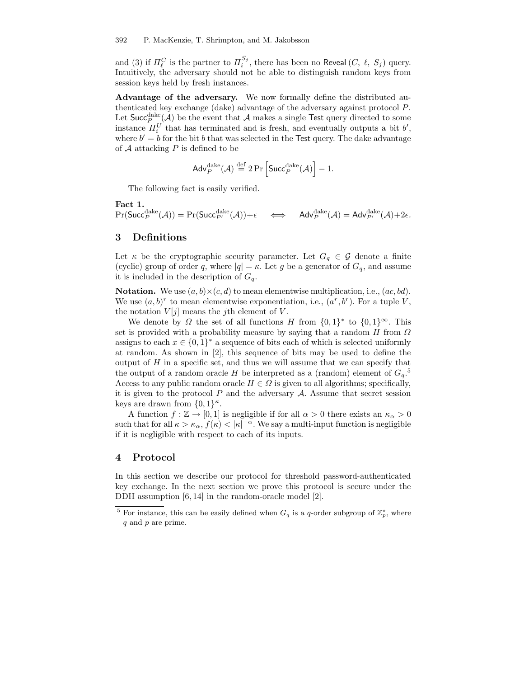and (3) if  $\Pi_{\ell}^C$  is the partner to  $\Pi_i^{S_j}$ , there has been no Reveal  $(C, \ell, S_j)$  query. Intuitively, the adversary should not be able to distinguish random keys from session keys held by fresh instances.

Advantage of the adversary. We now formally define the distributed authenticated key exchange (dake) advantage of the adversary against protocol P. Let  $\mathsf{Succ}^{\text{take}}_P(\mathcal{A})$  be the event that  $\mathcal{A}$  makes a single Test query directed to some instance  $\Pi_i^U$  that has terminated and is fresh, and eventually outputs a bit  $b'$ , where  $b' = b$  for the bit b that was selected in the Test query. The dake advantage of  $A$  attacking  $P$  is defined to be

$$
\mathsf{Adv}^{\mathsf{dake}}_P(\mathcal{A}) \stackrel{\mathrm{def}}{=} 2\Pr\left[\mathsf{Succ}^{\mathsf{dake}}_P(\mathcal{A})\right] - 1.
$$

The following fact is easily verified.

Fact 1.  $\Pr(\mathsf{Succ}^{\mathsf{dake}}_P(\mathcal{A})) = \Pr(\mathsf{Succ}^{\mathsf{dake}}_{P'}(\mathcal{A})) + \epsilon \iff \mathsf{Adv}^{\mathsf{dake}}_P(\mathcal{A}) = \mathsf{Adv}^{\mathsf{dake}}_{P'}(\mathcal{A}) + 2\epsilon.$ 

## 3 Definitions

Let  $\kappa$  be the cryptographic security parameter. Let  $G_q \in \mathcal{G}$  denote a finite (cyclic) group of order q, where  $|q| = \kappa$ . Let g be a generator of  $G_q$ , and assume it is included in the description of  $G_q$ .

**Notation.** We use  $(a, b) \times (c, d)$  to mean elementwise multiplication, i.e.,  $(ac, bd)$ . We use  $(a, b)^r$  to mean elementwise exponentiation, i.e.,  $(a^r, b^r)$ . For a tuple V, the notation  $V[i]$  means the *j*th element of V.

We denote by  $\Omega$  the set of all functions H from  $\{0,1\}^*$  to  $\{0,1\}^{\infty}$ . This set is provided with a probability measure by saying that a random H from  $\Omega$ assigns to each  $x \in \{0,1\}^*$  a sequence of bits each of which is selected uniformly at random. As shown in [2], this sequence of bits may be used to define the output of  $H$  in a specific set, and thus we will assume that we can specify that the output of a random oracle H be interpreted as a (random) element of  $G_q$ .<sup>5</sup> Access to any public random oracle  $H \in \Omega$  is given to all algorithms; specifically, it is given to the protocol  $P$  and the adversary  $A$ . Assume that secret session keys are drawn from  $\{0,1\}^{\kappa}$ .

A function  $f : \mathbb{Z} \to [0,1]$  is negligible if for all  $\alpha > 0$  there exists an  $\kappa_{\alpha} > 0$ such that for all  $\kappa > \kappa_\alpha$ ,  $f(\kappa) < |\kappa|^{-\alpha}$ . We say a multi-input function is negligible if it is negligible with respect to each of its inputs.

# 4 Protocol

In this section we describe our protocol for threshold password-authenticated key exchange. In the next section we prove this protocol is secure under the DDH assumption [6, 14] in the random-oracle model [2].

<sup>&</sup>lt;sup>5</sup> For instance, this can be easily defined when  $G_q$  is a q-order subgroup of  $\mathbb{Z}_p^*$ , where q and p are prime.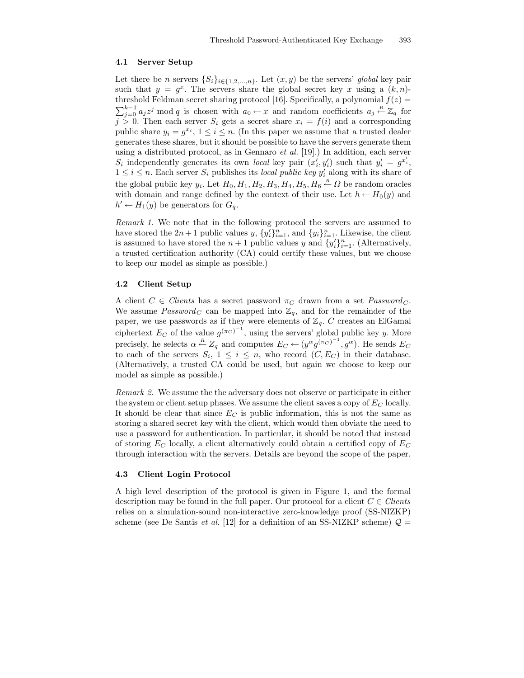#### 4.1 Server Setup

Let there be n servers  $\{S_i\}_{i\in\{1,2,\ldots,n\}}$ . Let  $(x, y)$  be the servers' global key pair such that  $y = g^x$ . The servers share the global secret key x using a  $(k, n)$ threshold Feldman secret sharing protocol [16]. Specifically, a polynomial  $f(z)$  =  $\sum_{j=0}^{k-1} a_j z^j$  mod q is chosen with  $a_0 \leftarrow x$  and random coefficients  $a_j \stackrel{R}{\leftarrow} \mathbb{Z}_q$  for  $j > 0$ . Then each server  $S_i$  gets a secret share  $x_i = f(i)$  and a corresponding public share  $y_i = g^{x_i}$ ,  $1 \leq i \leq n$ . (In this paper we assume that a trusted dealer generates these shares, but it should be possible to have the servers generate them using a distributed protocol, as in Gennaro et al. [19].) In addition, each server  $S_i$  independently generates its own *local* key pair  $(x'_i, y'_i)$  such that  $y'_i = g^{x'_i}$ ,  $1 \leq i \leq n$ . Each server  $S_i$  publishes its *local public key*  $y'_i$  along with its share of the global public key  $y_i$ . Let  $H_0, H_1, H_2, H_3, H_4, H_5, H_6 \stackrel{\text{R}}{\leftarrow} \Omega$  be random oracles with domain and range defined by the context of their use. Let  $h \leftarrow H_0(y)$  and  $h' \leftarrow H_1(y)$  be generators for  $G_q$ .

Remark 1. We note that in the following protocol the servers are assumed to have stored the  $2n+1$  public values  $y$ ,  $\{y'_{i}\}_{i=1}^{n}$ , and  $\{y_{i}\}_{i=1}^{n}$ . Likewise, the client is assumed to have stored the  $n+1$  public values y and  $\{y_i'\}_{i=1}^n$ . (Alternatively, a trusted certification authority (CA) could certify these values, but we choose to keep our model as simple as possible.)

### 4.2 Client Setup

A client  $C \in \text{Clients}$  has a secret password  $\pi_C$  drawn from a set  $Password_C$ . We assume  $Password_C$  can be mapped into  $\mathbb{Z}_q$ , and for the remainder of the paper, we use passwords as if they were elements of  $\mathbb{Z}_q$ . C creates an ElGamal ciphertext  $E_C$  of the value  $g^{(\pi_C)^{-1}}$ , using the servers' global public key y. More precisely, he selects  $\alpha \stackrel{R}{\leftarrow} Z_q$  and computes  $E_C \leftarrow (y^{\alpha} g^{(\pi_C)^{-1}}, g^{\alpha})$ . He sends  $E_C$ to each of the servers  $S_i$ ,  $1 \leq i \leq n$ , who record  $(C, E_C)$  in their database. (Alternatively, a trusted CA could be used, but again we choose to keep our model as simple as possible.)

Remark 2. We assume the the adversary does not observe or participate in either the system or client setup phases. We assume the client saves a copy of  $E_C$  locally. It should be clear that since  $E_C$  is public information, this is not the same as storing a shared secret key with the client, which would then obviate the need to use a password for authentication. In particular, it should be noted that instead of storing  $E_C$  locally, a client alternatively could obtain a certified copy of  $E_C$ through interaction with the servers. Details are beyond the scope of the paper.

#### 4.3 Client Login Protocol

A high level description of the protocol is given in Figure 1, and the formal description may be found in the full paper. Our protocol for a client  $C \in Clients$ relies on a simulation-sound non-interactive zero-knowledge proof (SS-NIZKP) scheme (see De Santis *et al.* [12] for a definition of an SS-NIZKP scheme)  $Q =$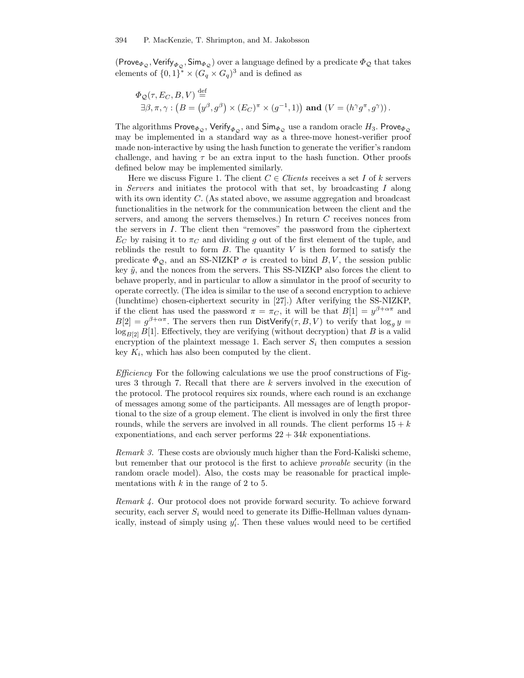(Prove $\phi_{\cal Q}$ , Verify $\phi_{\cal Q}$ , Sim $\phi_{\cal Q}$ ) over a language defined by a predicate  $\Phi_{\cal Q}$  that takes elements of  $\{0,1\}^* \times (G_q \times G_q)^3$  and is defined as

$$
\Phi_{\mathcal{Q}}(\tau, E_C, B, V) \stackrel{\text{def}}{=} \exists \beta, \pi, \gamma : (B = (y^{\beta}, g^{\beta}) \times (E_C)^{\pi} \times (g^{-1}, 1)) \text{ and } (V = (h^{\gamma} g^{\pi}, g^{\gamma})).
$$

The algorithms  $\mathsf{Prove}_{\varPhi_{\mathcal{Q}}}, \mathsf{Verify}_{\varPhi_{\mathcal{Q}}}, \text{and } \mathsf{Sim}_{\varPhi_{\mathcal{Q}}}$  use a random oracle  $H_3.$  Prove $_{\varPhi_{\mathcal{Q}}}$ may be implemented in a standard way as a three-move honest-verifier proof made non-interactive by using the hash function to generate the verifier's random challenge, and having  $\tau$  be an extra input to the hash function. Other proofs defined below may be implemented similarly.

Here we discuss Figure 1. The client  $C \in Clients$  receives a set I of k servers in Servers and initiates the protocol with that set, by broadcasting  $I$  along with its own identity  $C$ . (As stated above, we assume aggregation and broadcast functionalities in the network for the communication between the client and the servers, and among the servers themselves.) In return C receives nonces from the servers in I. The client then "removes" the password from the ciphertext  $E_C$  by raising it to  $\pi_C$  and dividing g out of the first element of the tuple, and reblinds the result to form  $B$ . The quantity  $V$  is then formed to satisfy the predicate  $\Phi_{\mathcal{Q}}$ , and an SS-NIZKP  $\sigma$  is created to bind B, V, the session public key  $\tilde{y}$ , and the nonces from the servers. This SS-NIZKP also forces the client to behave properly, and in particular to allow a simulator in the proof of security to operate correctly. (The idea is similar to the use of a second encryption to achieve (lunchtime) chosen-ciphertext security in [27].) After verifying the SS-NIZKP, if the client has used the password  $\pi = \pi_C$ , it will be that  $B[1] = y^{\beta + \alpha \pi}$  and  $B[2] = g^{\beta + \alpha \pi}$ . The servers then run DistVerify( $\tau, B, V$ ) to verify that  $\log_g y =$  $log_{B[2]} B[1]$ . Effectively, they are verifying (without decryption) that B is a valid encryption of the plaintext message 1. Each server  $S_i$  then computes a session key  $K_i$ , which has also been computed by the client.

 $Efficiency$  For the following calculations we use the proof constructions of Figures 3 through 7. Recall that there are k servers involved in the execution of the protocol. The protocol requires six rounds, where each round is an exchange of messages among some of the participants. All messages are of length proportional to the size of a group element. The client is involved in only the first three rounds, while the servers are involved in all rounds. The client performs  $15 + k$ exponentiations, and each server performs  $22 + 34k$  exponentiations.

Remark 3. These costs are obviously much higher than the Ford-Kaliski scheme, but remember that our protocol is the first to achieve provable security (in the random oracle model). Also, the costs may be reasonable for practical implementations with  $k$  in the range of 2 to 5.

Remark 4. Our protocol does not provide forward security. To achieve forward security, each server  $S_i$  would need to generate its Diffie-Hellman values dynamically, instead of simply using  $y_i'$ . Then these values would need to be certified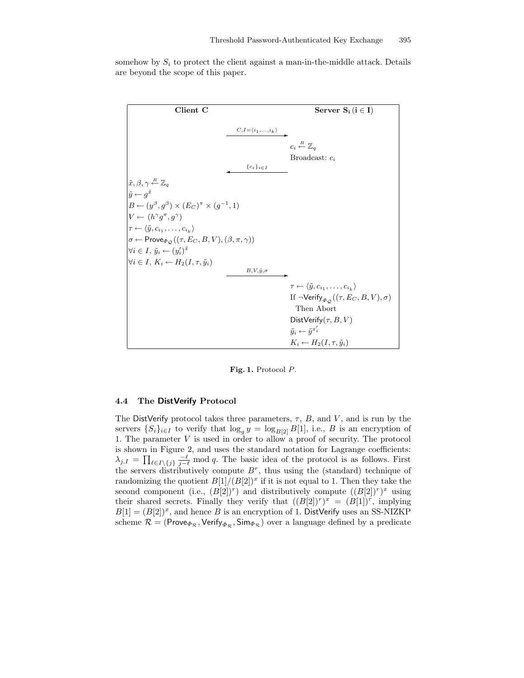somehow by  $S_i$  to protect the client against a man-in-the-middle attack. Details are beyond the scope of this paper.

| Client C                                                                                |                                        | Server $S_i$ $(i \in I)$                                              |
|-----------------------------------------------------------------------------------------|----------------------------------------|-----------------------------------------------------------------------|
|                                                                                         | $C, I{=}\langle i_1,\ldots,i_k\rangle$ |                                                                       |
|                                                                                         |                                        | $c_i \stackrel{R}{\leftarrow} \mathbb{Z}_q$                           |
|                                                                                         |                                        | Broadcast: $c_i$                                                      |
|                                                                                         | ${c_i}_{i \in I}$                      |                                                                       |
| $\tilde{x}, \beta, \gamma \stackrel{R}{\leftarrow} \mathbb{Z}_q$                        |                                        |                                                                       |
| $\tilde{u} \leftarrow g^{\tilde{x}}$                                                    |                                        |                                                                       |
| $B \leftarrow (y^{\beta}, g^{\beta}) \times (E_C)^{\pi} \times (g^{-1}, 1)$             |                                        |                                                                       |
| $V \leftarrow (h^{\gamma} g^{\pi}, g^{\gamma})$                                         |                                        |                                                                       |
| $\tau \leftarrow \langle \tilde{y}, c_{i_1}, \ldots, c_{i_k} \rangle$                   |                                        |                                                                       |
| $\sigma \leftarrow$ Prove $\Phi_{\mathcal{O}}((\tau, E_C, B, V), (\beta, \pi, \gamma))$ |                                        |                                                                       |
| $\forall i \in I, \, \tilde{y}_i \leftarrow (y_i')^{\tilde{x}}$                         |                                        |                                                                       |
| $\forall i \in I, K_i \leftarrow H_2(I, \tau, \tilde{y}_i)$                             |                                        |                                                                       |
|                                                                                         | $B, V, \tilde{y}, \sigma$              |                                                                       |
|                                                                                         |                                        | $\tau \leftarrow \langle \tilde{y}, c_{i_1}, \ldots, c_{i_k} \rangle$ |
|                                                                                         |                                        | If $\neg$ Verify $_{\Phi_{\mathcal{O}}}((\tau, E_C, B, V), \sigma)$   |
|                                                                                         |                                        | Then Abort                                                            |
|                                                                                         |                                        | DistVerify $(\tau, B, V)$                                             |
|                                                                                         |                                        | $\tilde{y}_i \leftarrow \tilde{y}^{x_i'}$                             |
|                                                                                         |                                        | $K_i \leftarrow H_2(I, \tau, \tilde{y}_i)$                            |

Fig. 1. Protocol P.

### 4.4 The DistVerify Protocol

The DistVerify protocol takes three parameters,  $\tau$ ,  $B$ , and  $V$ , and is run by the servers  $\{S_i\}_{i\in I}$  to verify that  $\log_q y = \log_{B[2]} B[1]$ , i.e., B is an encryption of 1. The parameter  $V$  is used in order to allow a proof of security. The protocol is shown in Figure 2, and uses the standard notation for Lagrange coefficients:  $\lambda_{j,I} = \prod_{\ell \in I \setminus \{j\}} \frac{-\ell}{j-\ell}$  mod q. The basic idea of the protocol is as follows. First the servers distributively compute  $B^r$ , thus using the (standard) technique of randomizing the quotient  $B[1]/(B[2])^x$  if it is not equal to 1. Then they take the second component (i.e.,  $(B[2])^r$ ) and distributively compute  $((B[2])^r)^x$  using their shared secrets. Finally they verify that  $((B[2])^r)^x = (B[1])^r$ , implying  $B[1] = (B[2])^x$ , and hence B is an encryption of 1. DistVerify uses an SS-NIZKP scheme  $\mathcal{R} = (\mathsf{Prove}_{\Phi_\mathcal{R}},\mathsf{Verify}_{\Phi_\mathcal{R}},\mathsf{Sim}_{\Phi_\mathcal{R}})$  over a language defined by a predicate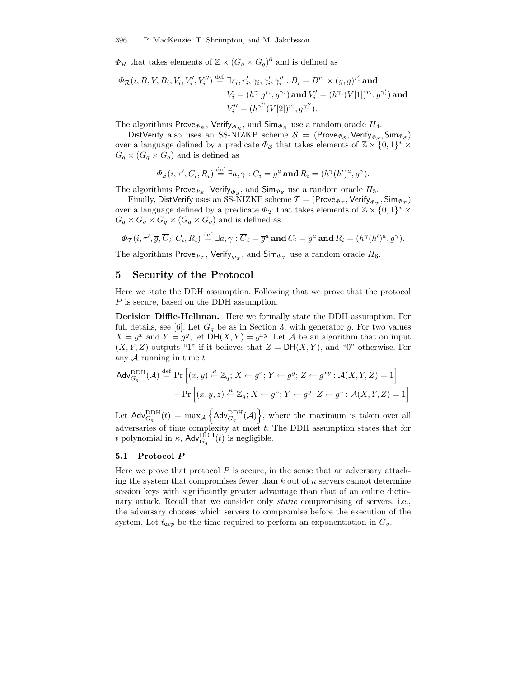$\Phi_{\mathcal{R}}$  that takes elements of  $\mathbb{Z} \times (G_q \times G_q)^6$  and is defined as

$$
\Phi_{\mathcal{R}}(i, B, V, B_i, V_i, V_i', V_i'') \stackrel{\text{def}}{=} \exists r_i, r_i', \gamma_i, \gamma_i', \gamma_i'': B_i = B^{r_i} \times (y, g)^{r_i'} \text{ and}
$$

$$
V_i = (h^{\gamma_i} g^{r_i}, g^{\gamma_i}) \text{ and } V_i' = (h^{\gamma_i'} (V[1])^{r_i}, g^{\gamma_i'}) \text{ and}
$$

$$
V_i'' = (h^{\gamma_i''} (V[2])^{r_i}, g^{\gamma_i''}).
$$

The algorithms  $\mathsf{Prove}_{\Phi_{\mathcal{R}}}$ ,  $\mathsf{Verify}_{\Phi_{\mathcal{R}}}$ , and  $\mathsf{Sim}_{\Phi_{\mathcal{R}}}$  use a random oracle  $H_4$ .

DistVerify also uses an SS-NIZKP scheme  $S = (\mathsf{Prove}_{\Phi_{\mathcal{S}}}, \mathsf{Verify}_{\Phi_{\mathcal{S}}}, \mathsf{Sim}_{\Phi_{\mathcal{S}}})$ over a language defined by a predicate  $\Phi_{\mathcal{S}}$  that takes elements of  $\mathbb{Z} \times \{0,1\}^* \times$  $G_q \times (G_q \times G_q)$  and is defined as

$$
\Phi_{\mathcal{S}}(i, \tau', C_i, R_i) \stackrel{\text{def}}{=} \exists a, \gamma : C_i = g^a \text{ and } R_i = (h^{\gamma}(h')^a, g^{\gamma}).
$$

The algorithms  $\mathsf{Prove}_{\Phi_{\mathcal{S}}}$ ,  $\mathsf{Verify}_{\Phi_{\mathcal{S}}}$ , and  $\mathsf{Sim}_{\Phi_{\mathcal{S}}}$  use a random oracle  $H_5$ .

Finally, DistVerify uses an SS-NIZKP scheme  $\mathcal{T}=(\mathsf{Prove}_{\varPhi_{\mathcal{T}}},\mathsf{Verify}_{\varPhi_{\mathcal{T}}},\mathsf{Sim}_{\varPhi_{\mathcal{T}}})$ over a language defined by a predicate  $\Phi_{\mathcal{T}}$  that takes elements of  $\mathbb{Z} \times \{0,1\}^* \times$  $G_q \times G_q \times G_q \times (G_q \times G_q)$  and is defined as

$$
\Phi_{\mathcal{T}}(i, \tau', \overline{g}, \overline{C}_i, C_i, R_i) \stackrel{\text{def}}{=} \exists a, \gamma : \overline{C}_i = \overline{g}^a \text{ and } C_i = g^a \text{ and } R_i = (h^{\gamma}(h')^a, g^{\gamma}).
$$

The algorithms Prove $_{\Phi_{\mathcal{T}}}$ , Verify $_{\Phi_{\mathcal{T}}}$ , and Sim $_{\Phi_{\mathcal{T}}}$  use a random oracle  $H_6$ .

#### 5 Security of the Protocol

Here we state the DDH assumption. Following that we prove that the protocol P is secure, based on the DDH assumption.

Decision Diffie-Hellman. Here we formally state the DDH assumption. For full details, see [6]. Let  $G<sub>a</sub>$  be as in Section 3, with generator g. For two values  $X = g^x$  and  $Y = g^y$ , let  $\overline{DH}(X, Y) = g^{xy}$ . Let A be an algorithm that on input  $(X, Y, Z)$  outputs "1" if it believes that  $Z = DH(X, Y)$ , and "0" otherwise. For any  $A$  running in time  $t$ 

$$
\mathsf{Adv}_{G_q}^{\mathrm{DDH}}(\mathcal{A}) \stackrel{\mathrm{def}}{=} \Pr\left[ (x, y) \stackrel{\mathrm{R}}{\leftarrow} \mathbb{Z}_q; X \leftarrow g^x; Y \leftarrow g^y; Z \leftarrow g^{xy} : \mathcal{A}(X, Y, Z) = 1 \right] \\
-\Pr\left[ (x, y, z) \stackrel{\mathrm{R}}{\leftarrow} \mathbb{Z}_q; X \leftarrow g^x; Y \leftarrow g^y; Z \leftarrow g^z : \mathcal{A}(X, Y, Z) = 1 \right] \right]
$$

Let  $\mathsf{Adv}_{G_q}^{\text{DDH}}(t) = \max_{\mathcal{A}} \left\{ \mathsf{Adv}_{G_q}^{\text{DDH}}(\mathcal{A}) \right\}$ , where the maximum is taken over all adversaries of time complexity at most  $t$ . The DDH assumption states that for t polynomial in  $\kappa$ ,  $\mathsf{Adv}_{G_q}^{\mathrm{DDH}}(t)$  is negligible.

#### 5.1 Protocol P

Here we prove that protocol  $P$  is secure, in the sense that an adversary attacking the system that compromises fewer than  $k$  out of  $n$  servers cannot determine session keys with significantly greater advantage than that of an online dictionary attack. Recall that we consider only *static* compromising of servers, i.e., the adversary chooses which servers to compromise before the execution of the system. Let  $t_{exp}$  be the time required to perform an exponentiation in  $G_q$ .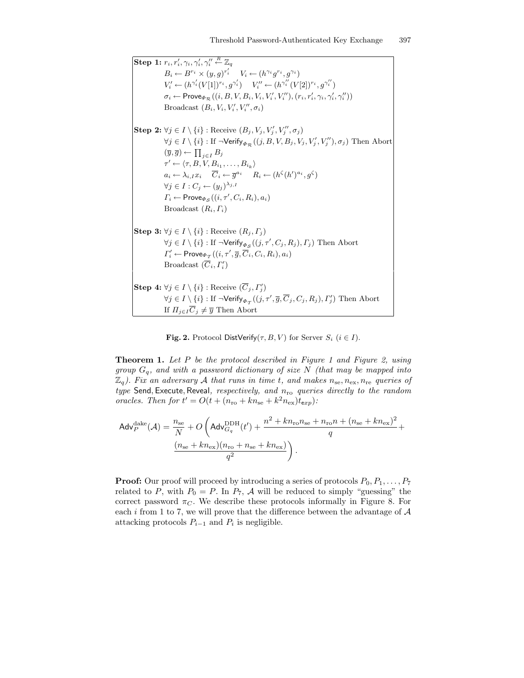$\textbf{Step 1:} \ r_i, r'_i, \gamma_i, \gamma'_i, \gamma''_i \stackrel{R}{\leftarrow} \mathbb{Z}_q$  $B_i \leftarrow B^{r_i} \times (y, g)^{r'_i}$   $V_i \leftarrow (h^{\gamma_i} g^{r_i}, g^{\gamma_i})$  $V'_{i} \leftarrow (h^{\gamma'_{i}}(V[1])^{r_{i}}, g^{\gamma'_{i}}) \quad V''_{i} \leftarrow (h^{\gamma''_{i}}(V[2])^{r_{i}}, g^{\gamma''_{i}})$  $\sigma_i \leftarrow \mathsf{Prove}_{\Phi_{\mathcal{R}}}((i, B, V, B_i, V_i, V'_i, V''_i), (r_i, r'_i, \gamma_i, \gamma'_i, \gamma''_i))$ Broadcast  $(B_i, V_i, V'_i, V''_i, \sigma_i)$ Step 2:  $\forall j \in I \setminus \{i\} : \text{Receive } (B_j, V_j, V'_j, V''_j, \sigma_j)$  $\forall j \in I \setminus \{i\} : \text{If } \neg \textsf{Verify}_{\Phi_\mathcal{R}}((j, B, V, B_j, V_j, V_j', V_j''), \sigma_j) \text{ Then Abort}$  $(\overline{y}, \overline{g}) \leftarrow \prod_{j \in I} B_j$  $\tau' \leftarrow \langle \tau, B, V, B_{i_1}, \ldots, B_{i_k} \rangle$  $a_i \leftarrow \lambda_{i,I} x_i \quad \overline{C}_i \leftarrow \overline{g}^{a_i} \quad R_i \leftarrow (h^{\zeta}(h')^{a_i}, g^{\zeta})$  $\forall j \in I: C_j \leftarrow (y_j)^{\lambda_{j,I}}$  $\Gamma_i \leftarrow \mathsf{Prove}_{\Phi_{\mathcal{S}}}((i, \tau', C_i, R_i), a_i)$ Broadcast  $(R_i, \Gamma_i)$ Step 3:  $\forall j \in I \setminus \{i\} : \text{Receive } (R_j, \Gamma_j)$  $\forall j \in I \setminus \{i\} : \text{If } \neg \textsf{Verify}_{\varPhi_{\mathcal{S}}}((j, \tau', C_j, R_j), \varGamma_j) \text{ Then Abort}$  $\Gamma_i' \leftarrow \mathsf{Prove}_{\Phi_{\mathcal{T}}}((i, \tau', \overline{g}, \overline{C}_i, C_i, R_i), a_i)$ Broadcast  $(\overline{C}_i, \Gamma'_i)$ **Step 4:**  $\forall j \in I \setminus \{i\} : \text{Receive } (\overline{C}_j, \Gamma'_j)$  $\forall j \in I \setminus \{i\} : \text{If } \neg \textsf{Verify}_{\varPhi_{\mathcal{T}}}((j, \tau', \overline{g}, \overline{C}_j, C_j, R_j), \varGamma'_j) \text{ Then Abort}$ If  $\Pi_{j\in I}\overline{C}_j\neq \overline{y}$  Then Abort

Fig. 2. Protocol DistVerify( $\tau$ ,  $B$ ,  $V$ ) for Server  $S_i$  ( $i \in I$ ).

**Theorem 1.** Let  $P$  be the protocol described in Figure 1 and Figure 2, using group  $G_q$ , and with a password dictionary of size N (that may be mapped into  $\mathbb{Z}_q$ ). Fix an adversary A that runs in time t, and makes  $n_{\text{se}}$ ,  $n_{\text{ex}}$ ,  $n_{\text{re}}$  queries of type Send, Execute, Reveal, respectively, and  $n_{\rm ro}$  queries directly to the random oracles. Then for  $t' = O(t + (n_{\text{ro}} + kn_{\text{se}} + k^2 n_{\text{ex}}) t_{\text{exp}})$ :

$$
\mathsf{Adv}_{P}^{\text{dake}}(\mathcal{A}) = \frac{n_{\text{se}}}{N} + O\left(\mathsf{Adv}_{G_q}^{\text{DDH}}(t') + \frac{n^2 + kn_{\text{ro}}n_{\text{se}} + n_{\text{ro}}n + (n_{\text{se}} + kn_{\text{ex}})^2}{q} + \frac{(n_{\text{se}} + kn_{\text{ex}})(n_{\text{ro}} + n_{\text{se}} + kn_{\text{ex}})}{q^2}\right).
$$

**Proof:** Our proof will proceed by introducing a series of protocols  $P_0, P_1, \ldots, P_7$ related to P, with  $P_0 = P$ . In  $P_7$ , A will be reduced to simply "guessing" the correct password  $\pi_C$ . We describe these protocols informally in Figure 8. For each i from 1 to 7, we will prove that the difference between the advantage of  $A$ attacking protocols  $P_{i-1}$  and  $P_i$  is negligible.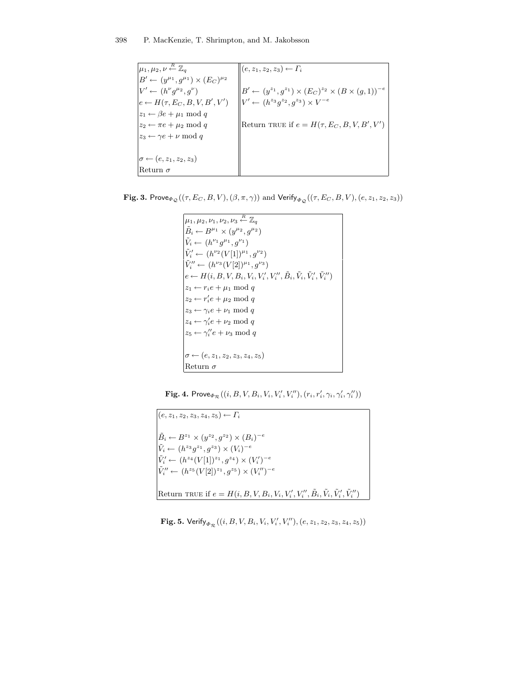| $\mu_1, \mu_2, \nu \stackrel{R}{\leftarrow} \mathbb{Z}_q$   | $\left  (e, z_1, z_2, z_3) \leftarrow \Gamma_i \right $                                                                                                                                                        |
|-------------------------------------------------------------|----------------------------------------------------------------------------------------------------------------------------------------------------------------------------------------------------------------|
| $B' \leftarrow (y^{\mu_1}, g^{\mu_1}) \times (E_C)^{\mu_2}$ |                                                                                                                                                                                                                |
| $V' \leftarrow (h^{\nu} g^{\mu_2}, g^{\nu})$                | $\begin{split} \begin{aligned} \Big\  B' &\leftarrow (y^{z_1}, g^{z_1}) \times (E_C)^{z_2} \times (B \times (g, 1))^{-e} \\ V' &\leftarrow (h^{z_3} g^{z_2}, g^{z_3}) \times V^{-e} \end{aligned} \end{split}$ |
| $e \leftarrow H(\tau, E_C, B, V, B', V')$                   |                                                                                                                                                                                                                |
| $z_1 \leftarrow \beta e + \mu_1 \mod q$                     |                                                                                                                                                                                                                |
| $z_2 \leftarrow \pi e + \mu_2 \mod q$                       | Return TRUE if $e = H(\tau, E_C, B, V, B', V')$                                                                                                                                                                |
| $z_3 \leftarrow \gamma e + \nu \mod q$                      |                                                                                                                                                                                                                |
|                                                             |                                                                                                                                                                                                                |
| $\sigma \leftarrow (e, z_1, z_2, z_3)$                      |                                                                                                                                                                                                                |
| Return $\sigma$                                             |                                                                                                                                                                                                                |

Fig. 3. Prove $_\Phi Q((\tau, E_C, B, V), (\beta, \pi, \gamma))$  and Verify $_\Phi_Q((\tau, E_C, B, V), (e, z_1, z_2, z_3))$ 



 $\mathbf{Fig. 4.}$  Prove ${}_{\varPhi_{\mathcal{R}}}((i,B,V,B_i,V_i,V'_i,V''_i),(r_i,r'_i,\gamma_i,\gamma'_i,\gamma''_i))$ 

| $(e, z_1, z_2, z_3, z_4, z_5) \leftarrow \Gamma_i$                                                            |
|---------------------------------------------------------------------------------------------------------------|
|                                                                                                               |
| $ \tilde{B}_i \leftarrow B^{z_1} \times (y^{z_2}, g^{z_2}) \times (B_i)^{-e}$                                 |
| $ \tilde{V}_i \leftarrow (h^{z_3} g^{z_1}, g^{z_3}) \times (V_i)^{-e}$                                        |
| $ \tilde{V}'_i \leftarrow (h^{z_4}(V[1])^{z_1}, g^{z_4}) \times (V'_i)^{-e}$                                  |
| $\tilde{V}''_i \leftarrow (h^{z_5}(V[2])^{z_1}, g^{z_5}) \times (V''_i)^{-e}$                                 |
|                                                                                                               |
| Return TRUE if $e = H(i, B, V, B_i, V_i, V_i', V_i'', \tilde{B}_i, \tilde{V}_i, \tilde{V}_i', \tilde{V}_i'')$ |

**Fig. 5.** Verify $_{\Phi_{\mathcal{R}}}((i, B, V, B_i, V_i, V'_i', V''_i), (e, z_1, z_2, z_3, z_4, z_5))$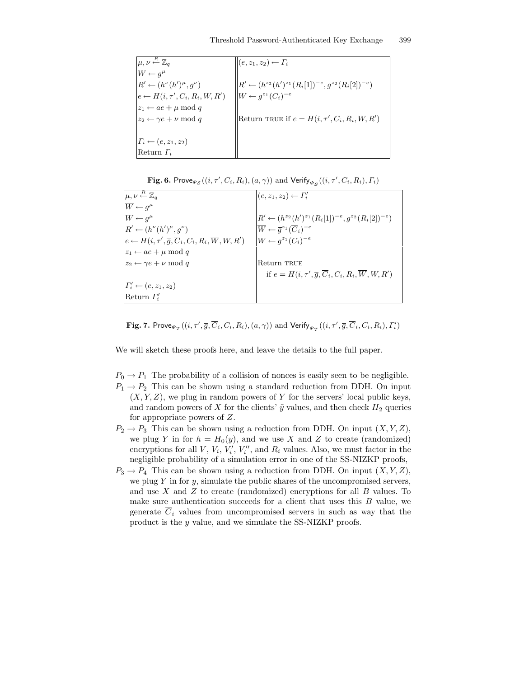| $\mu, \nu \stackrel{R}{\leftarrow} \mathbb{Z}_q$ | $(e, z_1, z_2) \leftarrow \Gamma_i$                                                                      |
|--------------------------------------------------|----------------------------------------------------------------------------------------------------------|
| $W \leftarrow q^{\mu}$                           |                                                                                                          |
| $R' \leftarrow (h^{\nu}(h')^{\mu}, q^{\nu})$     |                                                                                                          |
| $e \leftarrow H(i, \tau', C_i, R_i, W, R')$      | $\ R' \leftarrow (h^{z_2}(h')^{z_1}(R_i[1])^{-e}, g^{z_2}(R_i[2])^{-e})\ W \leftarrow g^{z_1}(C_i)^{-e}$ |
| $z_1 \leftarrow ae + \mu \mod q$                 |                                                                                                          |
| $z_2 \leftarrow \gamma e + \nu \mod q$           | Return TRUE if $e = H(i, \tau', C_i, R_i, W, R')$                                                        |
|                                                  |                                                                                                          |
| $\Gamma_i \leftarrow (e, z_1, z_2)$              |                                                                                                          |
| Return $\Gamma_i$                                |                                                                                                          |

Fig. 6. Prove $_{\Phi_{\mathcal{S}}}((i,\tau',C_i,R_i),(a,\gamma))$  and  $\mathsf{Verify}_{\Phi_{\mathcal{S}}}((i,\tau',C_i,R_i),\varGamma_i)$ 

| $\mu, \nu \stackrel{R}{\leftarrow} \mathbb{Z}_q$   | $(e, z_1, z_2) \leftarrow \Gamma'_i$                                                                                                                                                                                                                                                                                                                                                                                                          |
|----------------------------------------------------|-----------------------------------------------------------------------------------------------------------------------------------------------------------------------------------------------------------------------------------------------------------------------------------------------------------------------------------------------------------------------------------------------------------------------------------------------|
| $\sqrt{\frac{W}{W}} \leftarrow \overline{g}^{\mu}$ |                                                                                                                                                                                                                                                                                                                                                                                                                                               |
|                                                    |                                                                                                                                                                                                                                                                                                                                                                                                                                               |
|                                                    |                                                                                                                                                                                                                                                                                                                                                                                                                                               |
|                                                    | $\begin{array}{ll} \left\  W \leftarrow g^\mu \right. \\ R' \leftarrow (h^\nu (h')^\mu, g^\nu) \\ e \leftarrow H(i,\tau',\overline{g},\overline{C}_i,C_i,R_i,\overline{W},W,R') \end{array} \right. \quad \left\  \begin{array}{ll} R' \leftarrow (h^{z_2}(h')^{z_1}(R_i[1])^{-e},g^{z_2}(R_i[2])^{-e}) \\ \overline{W} \leftarrow \overline{g}^{z_1}(\overline{C}_i)^{-e} \\ W \leftarrow g^{z_1}(C_i)^{-e} \end{array} \right. \end{array}$ |
| $z_1 \leftarrow ae + \mu \mod q$                   |                                                                                                                                                                                                                                                                                                                                                                                                                                               |
| $z_2 \leftarrow \gamma e + \nu \mod q$             | Return TRUE                                                                                                                                                                                                                                                                                                                                                                                                                                   |
|                                                    | if $e = H(i, \tau', \overline{g}, \overline{C}_i, C_i, R_i, \overline{W}, W, R')$                                                                                                                                                                                                                                                                                                                                                             |
| $\Gamma'_i \leftarrow (e, z_1, z_2)$               |                                                                                                                                                                                                                                                                                                                                                                                                                                               |
| Return $\Gamma_i'$                                 |                                                                                                                                                                                                                                                                                                                                                                                                                                               |

**Fig. 7.** Prove
$$
\Phi_T((i, \tau', \overline{g}, \overline{C}_i, C_i, R_i), (a, \gamma))
$$
 and Verify $\Phi_T((i, \tau', \overline{g}, \overline{C}_i, C_i, R_i), \Gamma'_i)$ 

We will sketch these proofs here, and leave the details to the full paper.

- $P_0 \rightarrow P_1$  The probability of a collision of nonces is easily seen to be negligible.
- $P_1 \rightarrow P_2$  This can be shown using a standard reduction from DDH. On input  $(X, Y, Z)$ , we plug in random powers of Y for the servers' local public keys, and random powers of X for the clients'  $\tilde{y}$  values, and then check  $H_2$  queries for appropriate powers of Z.
- $P_2 \rightarrow P_3$  This can be shown using a reduction from DDH. On input  $(X, Y, Z)$ , we plug Y in for  $h = H_0(y)$ , and we use X and Z to create (randomized) encryptions for all  $V$ ,  $V_i$ ,  $V_i'$ ,  $V_i''$ , and  $R_i$  values. Also, we must factor in the negligible probability of a simulation error in one of the SS-NIZKP proofs,
- $P_3 \rightarrow P_4$  This can be shown using a reduction from DDH. On input  $(X, Y, Z)$ , we plug  $Y$  in for  $y$ , simulate the public shares of the uncompromised servers, and use  $X$  and  $Z$  to create (randomized) encryptions for all  $B$  values. To make sure authentication succeeds for a client that uses this  $B$  value, we generate  $\overline{C}_i$  values from uncompromised servers in such as way that the product is the  $\overline{y}$  value, and we simulate the SS-NIZKP proofs.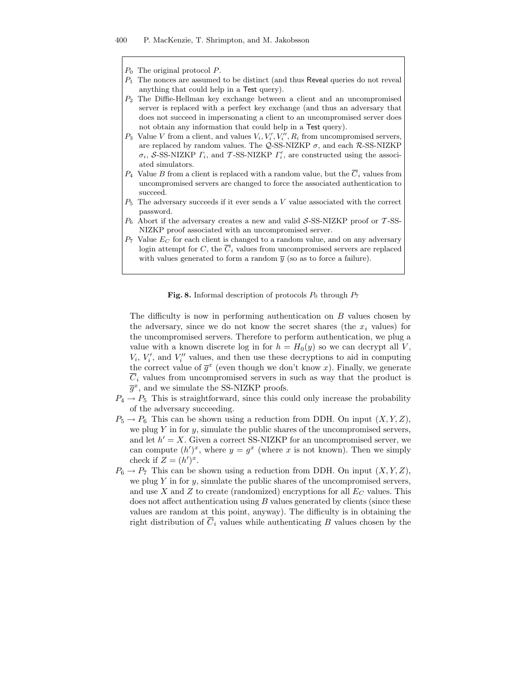- $P_0$  The original protocol  $P$ .
- $P_1$  The nonces are assumed to be distinct (and thus Reveal queries do not reveal anything that could help in a Test query).
- $P<sub>2</sub>$  The Diffie-Hellman key exchange between a client and an uncompromised server is replaced with a perfect key exchange (and thus an adversary that does not succeed in impersonating a client to an uncompromised server does not obtain any information that could help in a Test query).
- $P_3$  Value V from a client, and values  $V_i, V'_i, V''_i, R_i$  from uncompromised servers, are replaced by random values. The  $\mathcal{Q}\text{-SS-NIZKP}$   $\sigma,$  and each  $\mathcal{R}\text{-SS-NIZKP}$  $\sigma_i$ , S-SS-NIZKP  $\Gamma_i$ , and T-SS-NIZKP  $\Gamma'_i$ , are constructed using the associated simulators.
- $P_4$  Value B from a client is replaced with a random value, but the  $\overline{C}_i$  values from uncompromised servers are changed to force the associated authentication to succeed.
- $P_5$  The adversary succeeds if it ever sends a  $V$  value associated with the correct password.
- $P_6$  Abort if the adversary creates a new and valid  $S$ -SS-NIZKP proof or T-SS-NIZKP proof associated with an uncompromised server.
- $P_7$  Value  $E_C$  for each client is changed to a random value, and on any adversary login attempt for C, the  $\overline{C}_i$  values from uncompromised servers are replaced with values generated to form a random  $\overline{y}$  (so as to force a failure).

Fig. 8. Informal description of protocols  $P_0$  through  $P_7$ 

The difficulty is now in performing authentication on B values chosen by the adversary, since we do not know the secret shares (the  $x_i$  values) for the uncompromised servers. Therefore to perform authentication, we plug a value with a known discrete log in for  $h = H_0(y)$  so we can decrypt all V,  $V_i$ ,  $V'_i$ , and  $V''_i$  values, and then use these decryptions to aid in computing the correct value of  $\bar{g}^x$  (even though we don't know x). Finally, we generate  $\overline{C}_i$  values from uncompromised servers in such as way that the product is  $\overline{g}^x$ , and we simulate the SS-NIZKP proofs.

- $P_4 \rightarrow P_5$  This is straightforward, since this could only increase the probability of the adversary succeeding.
- $P_5 \rightarrow P_6$  This can be shown using a reduction from DDH. On input  $(X, Y, Z)$ , we plug Y in for  $y$ , simulate the public shares of the uncompromised servers, and let  $h' = X$ . Given a correct SS-NIZKP for an uncompromised server, we can compute  $(h')^x$ , where  $y = g^x$  (where x is not known). Then we simply check if  $Z = (h')^x$ .
- $P_6 \rightarrow P_7$  This can be shown using a reduction from DDH. On input  $(X, Y, Z)$ , we plug  $Y$  in for  $y$ , simulate the public shares of the uncompromised servers, and use X and Z to create (randomized) encryptions for all  $E_C$  values. This does not affect authentication using  $B$  values generated by clients (since these values are random at this point, anyway). The difficulty is in obtaining the right distribution of  $\overline{C}_i$  values while authenticating B values chosen by the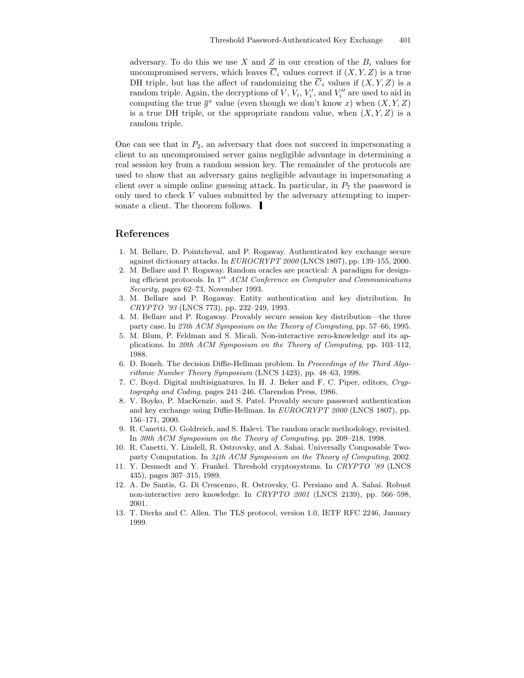adversary. To do this we use X and Z in our creation of the  $B_i$  values for uncompromised servers, which leaves  $\overline{C}_i$  values correct if  $(X, Y, Z)$  is a true DH triple, but has the affect of randomizing the  $\overline{C}_i$  values if  $(X, Y, Z)$  is a random triple. Again, the decryptions of  $V, V_i, V'_i$ , and  $V''_i$  are used to aid in computing the true  $\overline{g}^x$  value (even though we don't know x) when  $(X, Y, Z)$ is a true DH triple, or the appropriate random value, when  $(X, Y, Z)$  is a random triple.

One can see that in  $P_2$ , an adversary that does not succeed in impersonating a client to an uncompromised server gains negligible advantage in determining a real session key from a random session key. The remainder of the protocols are used to show that an adversary gains negligible advantage in impersonating a client over a simple online guessing attack. In particular, in  $P_7$  the password is only used to check V values submitted by the adversary attempting to impersonate a client. The theorem follows.

## References

- 1. M. Bellare, D. Pointcheval, and P. Rogaway. Authenticated key exchange secure against dictionary attacks. In EUROCRYPT 2000 (LNCS 1807), pp. 139–155, 2000.
- 2. M. Bellare and P. Rogaway. Random oracles are practical: A paradigm for designing efficient protocols. In 1<sup>st</sup> ACM Conference on Computer and Communications Security, pages 62–73, November 1993.
- 3. M. Bellare and P. Rogaway. Entity authentication and key distribution. In CRYPTO '93 (LNCS 773), pp. 232–249, 1993.
- 4. M. Bellare and P. Rogaway. Provably secure session key distribution—the three party case. In 27th ACM Symposium on the Theory of Computing, pp. 57–66, 1995.
- 5. M. Blum, P. Feldman and S. Micali. Non-interactive zero-knowledge and its applications. In 20th ACM Symposium on the Theory of Computing, pp. 103–112, 1988.
- 6. D. Boneh. The decision Diffie-Hellman problem. In Proceedings of the Third Algorithmic Number Theory Symposium (LNCS 1423), pp. 48–63, 1998.
- 7. C. Boyd. Digital multisignatures. In H. J. Beker and F. C. Piper, editors, Cryptography and Coding, pages 241–246. Clarendon Press, 1986.
- 8. V. Boyko, P. MacKenzie, and S. Patel. Provably secure password authentication and key exchange using Diffie-Hellman. In EUROCRYPT 2000 (LNCS 1807), pp. 156–171, 2000.
- 9. R. Canetti, O. Goldreich, and S. Halevi. The random oracle methodology, revisited. In 30th ACM Symposium on the Theory of Computing, pp. 209–218, 1998.
- 10. R. Canetti, Y. Lindell, R. Ostrovsky, and A. Sahai. Universally Composable Twoparty Computation. In 34th ACM Symposium on the Theory of Computing, 2002.
- 11. Y. Desmedt and Y. Frankel. Threshold cryptosystems. In CRYPTO '89 (LNCS 435), pages 307–315, 1989.
- 12. A. De Santis, G. Di Crescenzo, R. Ostrovsky, G. Persiano and A. Sahai. Robust non-interactive zero knowledge. In CRYPTO 2001 (LNCS 2139), pp. 566–598, 2001.
- 13. T. Dierks and C. Allen. The TLS protocol, version 1.0, IETF RFC 2246, January 1999.